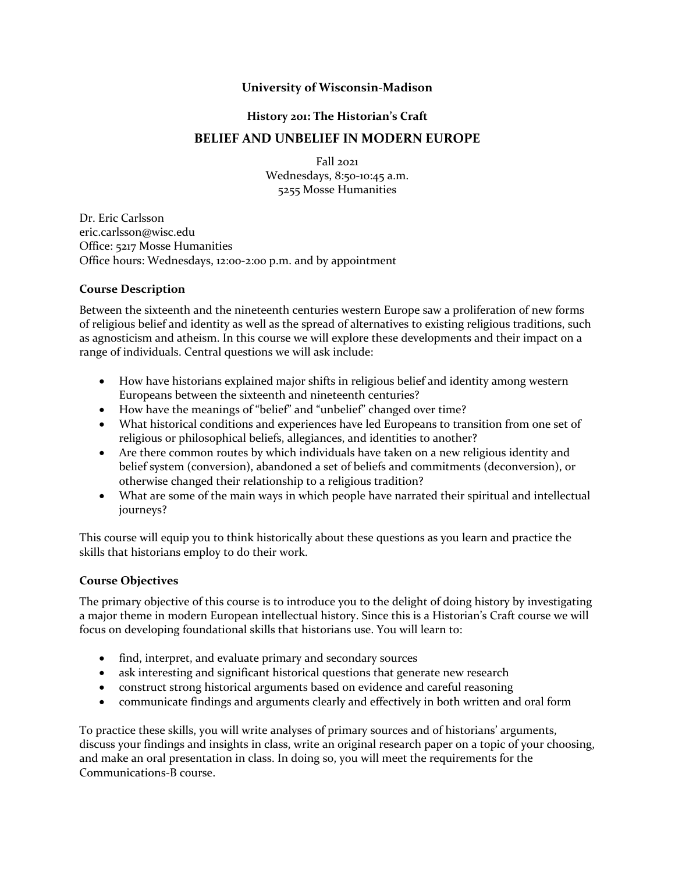### **University of Wisconsin-Madison**

#### **History 201: The Historian's Craft**

# **BELIEF AND UNBELIEF IN MODERN EUROPE**

Fall 2021 Wednesdays, 8:50-10:45 a.m. 5255 Mosse Humanities

Dr. Eric Carlsson eric.carlsson@wisc.edu Office: 5217 Mosse Humanities Office hours: Wednesdays, 12:00-2:00 p.m. and by appointment

### **Course Description**

Between the sixteenth and the nineteenth centuries western Europe saw a proliferation of new forms of religious belief and identity as well as the spread of alternatives to existing religious traditions, such as agnosticism and atheism. In this course we will explore these developments and their impact on a range of individuals. Central questions we will ask include:

- How have historians explained major shifts in religious belief and identity among western Europeans between the sixteenth and nineteenth centuries?
- How have the meanings of "belief" and "unbelief" changed over time?
- What historical conditions and experiences have led Europeans to transition from one set of religious or philosophical beliefs, allegiances, and identities to another?
- Are there common routes by which individuals have taken on a new religious identity and belief system (conversion), abandoned a set of beliefs and commitments (deconversion), or otherwise changed their relationship to a religious tradition?
- What are some of the main ways in which people have narrated their spiritual and intellectual journeys?

This course will equip you to think historically about these questions as you learn and practice the skills that historians employ to do their work.

#### **Course Objectives**

The primary objective of this course is to introduce you to the delight of doing history by investigating a major theme in modern European intellectual history. Since this is a Historian's Craft course we will focus on developing foundational skills that historians use. You will learn to:

- find, interpret, and evaluate primary and secondary sources
- ask interesting and significant historical questions that generate new research
- construct strong historical arguments based on evidence and careful reasoning
- communicate findings and arguments clearly and effectively in both written and oral form

To practice these skills, you will write analyses of primary sources and of historians' arguments, discuss your findings and insights in class, write an original research paper on a topic of your choosing, and make an oral presentation in class. In doing so, you will meet the requirements for the Communications-B course.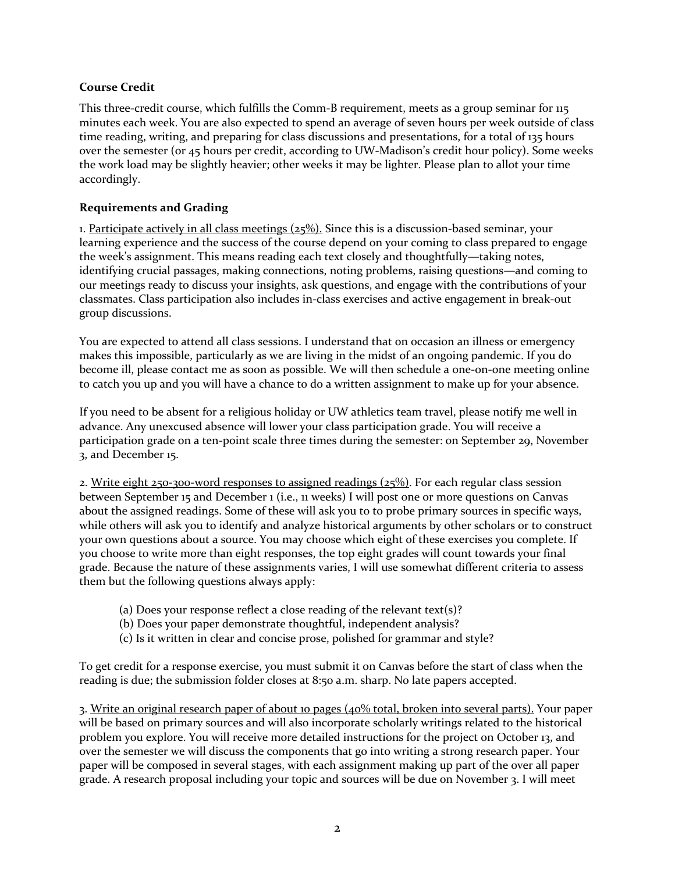### **Course Credit**

This three-credit course, which fulfills the Comm-B requirement, meets as a group seminar for 115 minutes each week. You are also expected to spend an average of seven hours per week outside of class time reading, writing, and preparing for class discussions and presentations, for a total of 135 hours over the semester (or 45 hours per credit, according to UW-Madison's credit hour policy). Some weeks the work load may be slightly heavier; other weeks it may be lighter. Please plan to allot your time accordingly.

### **Requirements and Grading**

1. Participate actively in all class meetings  $(25\%)$ . Since this is a discussion-based seminar, your learning experience and the success of the course depend on your coming to class prepared to engage the week's assignment. This means reading each text closely and thoughtfully—taking notes, identifying crucial passages, making connections, noting problems, raising questions—and coming to our meetings ready to discuss your insights, ask questions, and engage with the contributions of your classmates. Class participation also includes in-class exercises and active engagement in break-out group discussions.

You are expected to attend all class sessions. I understand that on occasion an illness or emergency makes this impossible, particularly as we are living in the midst of an ongoing pandemic. If you do become ill, please contact me as soon as possible. We will then schedule a one-on-one meeting online to catch you up and you will have a chance to do a written assignment to make up for your absence.

If you need to be absent for a religious holiday or UW athletics team travel, please notify me well in advance. Any unexcused absence will lower your class participation grade. You will receive a participation grade on a ten-point scale three times during the semester: on September 29, November 3, and December 15.

2. Write eight  $250-300$ -word responses to assigned readings  $(25%)$ . For each regular class session between September 15 and December 1 (i.e., 11 weeks) I will post one or more questions on Canvas about the assigned readings. Some of these will ask you to to probe primary sources in specific ways, while others will ask you to identify and analyze historical arguments by other scholars or to construct your own questions about a source. You may choose which eight of these exercises you complete. If you choose to write more than eight responses, the top eight grades will count towards your final grade. Because the nature of these assignments varies, I will use somewhat different criteria to assess them but the following questions always apply:

- (a) Does your response reflect a close reading of the relevant text(s)?
- (b) Does your paper demonstrate thoughtful, independent analysis?
- (c) Is it written in clear and concise prose, polished for grammar and style?

To get credit for a response exercise, you must submit it on Canvas before the start of class when the reading is due; the submission folder closes at 8:50 a.m. sharp. No late papers accepted.

3. Write an original research paper of about 10 pages (40% total, broken into several parts). Your paper will be based on primary sources and will also incorporate scholarly writings related to the historical problem you explore. You will receive more detailed instructions for the project on October 13, and over the semester we will discuss the components that go into writing a strong research paper. Your paper will be composed in several stages, with each assignment making up part of the over all paper grade. A research proposal including your topic and sources will be due on November 3. I will meet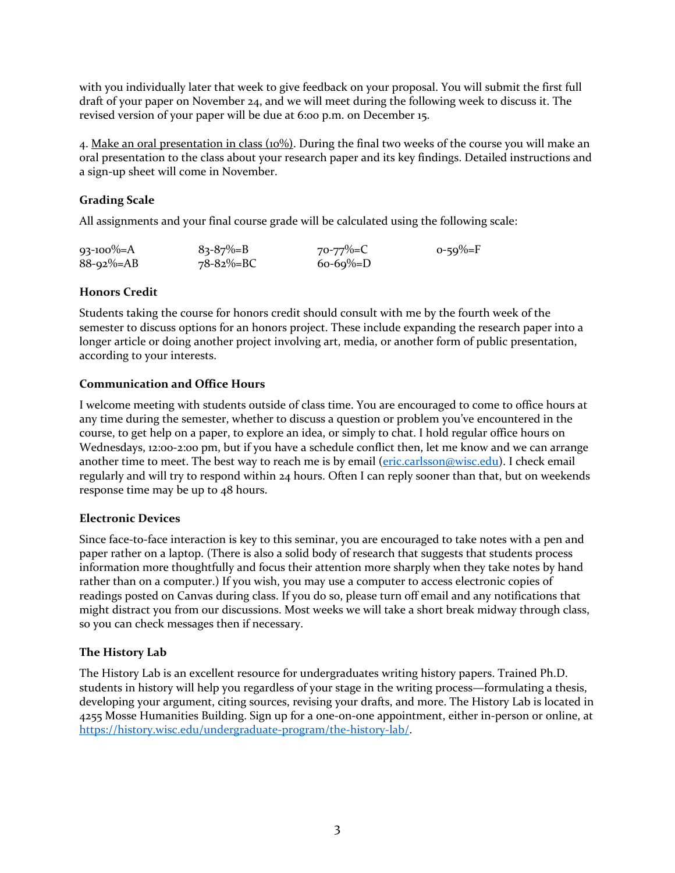with you individually later that week to give feedback on your proposal. You will submit the first full draft of your paper on November 24, and we will meet during the following week to discuss it. The revised version of your paper will be due at 6:00 p.m. on December 15.

4. Make an oral presentation in class (10%). During the final two weeks of the course you will make an oral presentation to the class about your research paper and its key findings. Detailed instructions and a sign-up sheet will come in November.

# **Grading Scale**

All assignments and your final course grade will be calculated using the following scale:

| $93-100\% = A$   | $83 - 87\% = B$  | 70-77%=C    | $0 - 59\% = F$ |
|------------------|------------------|-------------|----------------|
| $88 - 92\% = AB$ | $78 - 82\% = BC$ | $60-69\%=D$ |                |

# **Honors Credit**

Students taking the course for honors credit should consult with me by the fourth week of the semester to discuss options for an honors project. These include expanding the research paper into a longer article or doing another project involving art, media, or another form of public presentation, according to your interests.

### **Communication and Office Hours**

I welcome meeting with students outside of class time. You are encouraged to come to office hours at any time during the semester, whether to discuss a question or problem you've encountered in the course, to get help on a paper, to explore an idea, or simply to chat. I hold regular office hours on Wednesdays, 12:00-2:00 pm, but if you have a schedule conflict then, let me know and we can arrange another time to meet. The best way to reach me is by email (eric.carlsson@wisc.edu). I check email regularly and will try to respond within 24 hours. Often I can reply sooner than that, but on weekends response time may be up to 48 hours.

# **Electronic Devices**

Since face-to-face interaction is key to this seminar, you are encouraged to take notes with a pen and paper rather on a laptop. (There is also a solid body of research that suggests that students process information more thoughtfully and focus their attention more sharply when they take notes by hand rather than on a computer.) If you wish, you may use a computer to access electronic copies of readings posted on Canvas during class. If you do so, please turn off email and any notifications that might distract you from our discussions. Most weeks we will take a short break midway through class, so you can check messages then if necessary.

# **The History Lab**

The History Lab is an excellent resource for undergraduates writing history papers. Trained Ph.D. students in history will help you regardless of your stage in the writing process—formulating a thesis, developing your argument, citing sources, revising your drafts, and more. The History Lab is located in 4255 Mosse Humanities Building. Sign up for a one-on-one appointment, either in-person or online, at https://history.wisc.edu/undergraduate-program/the-history-lab/.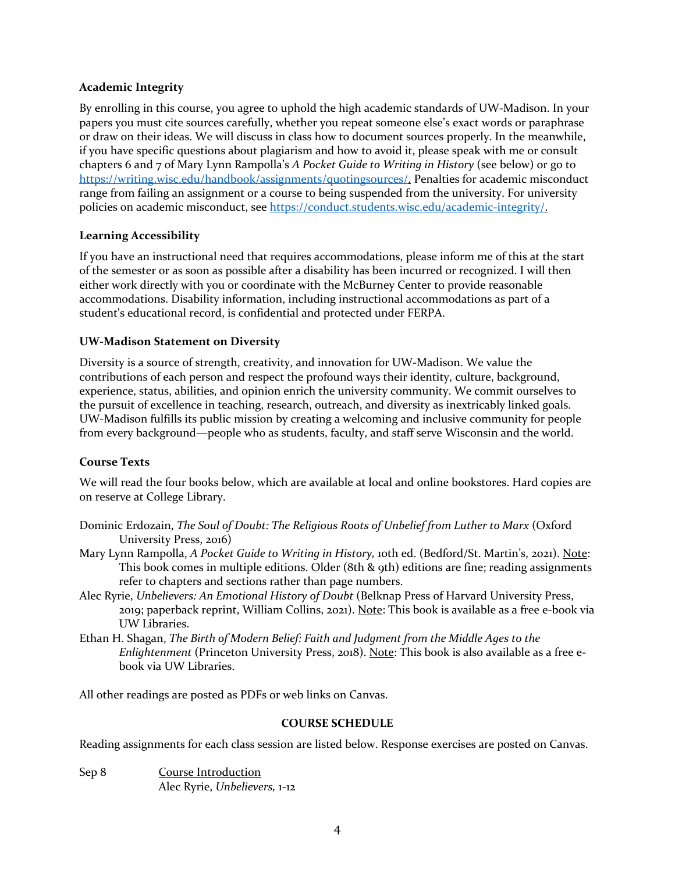#### **Academic Integrity**

By enrolling in this course, you agree to uphold the high academic standards of UW-Madison. In your papers you must cite sources carefully, whether you repeat someone else's exact words or paraphrase or draw on their ideas. We will discuss in class how to document sources properly. In the meanwhile, if you have specific questions about plagiarism and how to avoid it, please speak with me or consult chapters 6 and 7 of Mary Lynn Rampolla's *A Pocket Guide to Writing in History* (see below) or go to https://writing.wisc.edu/handbook/assignments/quotingsources/. Penalties for academic misconduct range from failing an assignment or a course to being suspended from the university. For university policies on academic misconduct, see https://conduct.students.wisc.edu/academic-integrity/.

### **Learning Accessibility**

If you have an instructional need that requires accommodations, please inform me of this at the start of the semester or as soon as possible after a disability has been incurred or recognized. I will then either work directly with you or coordinate with the McBurney Center to provide reasonable accommodations. Disability information, including instructional accommodations as part of a student's educational record, is confidential and protected under FERPA.

### **UW-Madison Statement on Diversity**

Diversity is a source of strength, creativity, and innovation for UW-Madison. We value the contributions of each person and respect the profound ways their identity, culture, background, experience, status, abilities, and opinion enrich the university community. We commit ourselves to the pursuit of excellence in teaching, research, outreach, and diversity as inextricably linked goals. UW-Madison fulfills its public mission by creating a welcoming and inclusive community for people from every background—people who as students, faculty, and staff serve Wisconsin and the world.

# **Course Texts**

We will read the four books below, which are available at local and online bookstores. Hard copies are on reserve at College Library.

- Dominic Erdozain, *The Soul of Doubt: The Religious Roots of Unbelief from Luther to Marx* (Oxford University Press, 2016)
- Mary Lynn Rampolla, *A Pocket Guide to Writing in History,* 10th ed. (Bedford/St. Martin's, 2021). Note: This book comes in multiple editions. Older (8th & 9th) editions are fine; reading assignments refer to chapters and sections rather than page numbers.
- Alec Ryrie, *Unbelievers: An Emotional History of Doubt* (Belknap Press of Harvard University Press, 2019; paperback reprint, William Collins, 2021). Note: This book is available as a free e-book via UW Libraries.
- Ethan H. Shagan, *The Birth of Modern Belief: Faith and Judgment from the Middle Ages to the Enlightenment* (Princeton University Press, 2018). Note: This book is also available as a free ebook via UW Libraries.

All other readings are posted as PDFs or web links on Canvas.

#### **COURSE SCHEDULE**

Reading assignments for each class session are listed below. Response exercises are posted on Canvas.

Sep 8 Course Introduction Alec Ryrie, *Unbelievers,* 1-12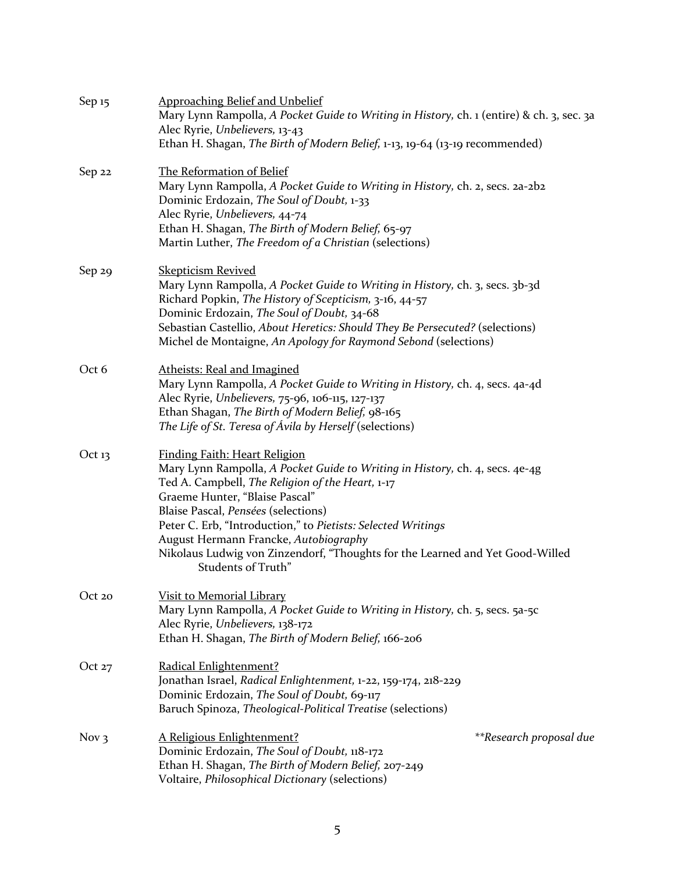| Sep 15             | <b>Approaching Belief and Unbelief</b><br>Mary Lynn Rampolla, A Pocket Guide to Writing in History, ch. 1 (entire) & ch. 3, sec. 3a<br>Alec Ryrie, Unbelievers, 13-43<br>Ethan H. Shagan, The Birth of Modern Belief, 1-13, 19-64 (13-19 recommended)                                                                                                                                                                                                             |
|--------------------|-------------------------------------------------------------------------------------------------------------------------------------------------------------------------------------------------------------------------------------------------------------------------------------------------------------------------------------------------------------------------------------------------------------------------------------------------------------------|
| Sep 22             | The Reformation of Belief<br>Mary Lynn Rampolla, A Pocket Guide to Writing in History, ch. 2, secs. 2a-2b2<br>Dominic Erdozain, The Soul of Doubt, 1-33<br>Alec Ryrie, Unbelievers, 44-74<br>Ethan H. Shagan, The Birth of Modern Belief, 65-97<br>Martin Luther, The Freedom of a Christian (selections)                                                                                                                                                         |
| Sep 29             | <b>Skepticism Revived</b><br>Mary Lynn Rampolla, A Pocket Guide to Writing in History, ch. 3, secs. 3b-3d<br>Richard Popkin, The History of Scepticism, 3-16, 44-57<br>Dominic Erdozain, The Soul of Doubt, 34-68<br>Sebastian Castellio, About Heretics: Should They Be Persecuted? (selections)<br>Michel de Montaigne, An Apology for Raymond Sebond (selections)                                                                                              |
| Oct 6              | Atheists: Real and Imagined<br>Mary Lynn Rampolla, A Pocket Guide to Writing in History, ch. 4, secs. 4a-4d<br>Alec Ryrie, Unbelievers, 75-96, 106-115, 127-137<br>Ethan Shagan, The Birth of Modern Belief, 98-165<br>The Life of St. Teresa of Ávila by Herself (selections)                                                                                                                                                                                    |
| Oct $13$           | <b>Finding Faith: Heart Religion</b><br>Mary Lynn Rampolla, A Pocket Guide to Writing in History, ch. 4, secs. 4e-4g<br>Ted A. Campbell, The Religion of the Heart, 1-17<br>Graeme Hunter, "Blaise Pascal"<br>Blaise Pascal, Pensées (selections)<br>Peter C. Erb, "Introduction," to Pietists: Selected Writings<br>August Hermann Francke, Autobiography<br>Nikolaus Ludwig von Zinzendorf, "Thoughts for the Learned and Yet Good-Willed<br>Students of Truth" |
| Oct 20             | <u>Visit to Memorial Library</u><br>Mary Lynn Rampolla, A Pocket Guide to Writing in History, ch. 5, secs. 5a-5c<br>Alec Ryrie, Unbelievers, 138-172<br>Ethan H. Shagan, The Birth of Modern Belief, 166-206                                                                                                                                                                                                                                                      |
| Oct $27$           | Radical Enlightenment?<br>Jonathan Israel, Radical Enlightenment, 1-22, 159-174, 218-229<br>Dominic Erdozain, The Soul of Doubt, 69-117<br>Baruch Spinoza, Theological-Political Treatise (selections)                                                                                                                                                                                                                                                            |
| Nov $\overline{3}$ | A Religious Enlightenment?<br>**Research proposal due<br>Dominic Erdozain, The Soul of Doubt, 118-172<br>Ethan H. Shagan, The Birth of Modern Belief, 207-249<br>Voltaire, Philosophical Dictionary (selections)                                                                                                                                                                                                                                                  |